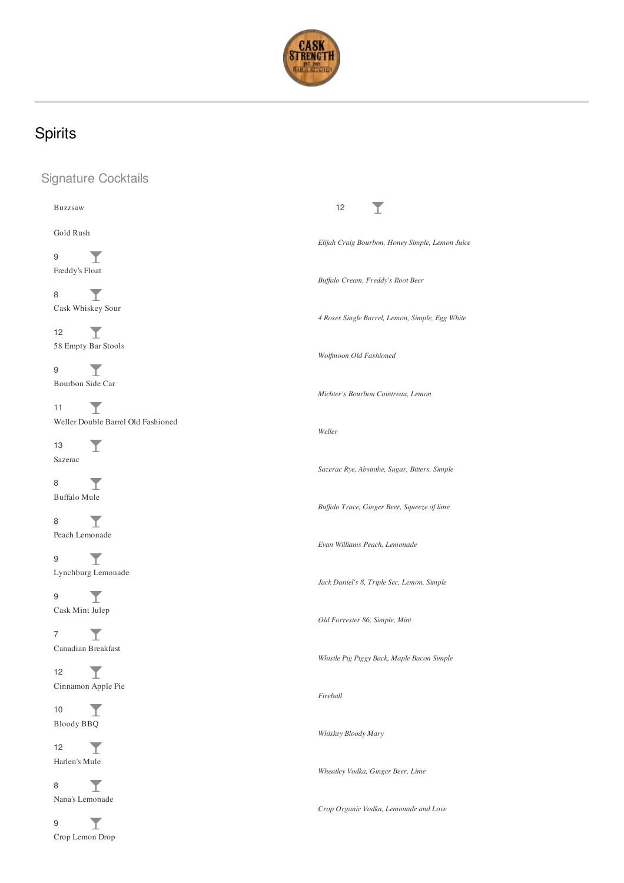

# Spirits

## Signature Cocktails

| <b>Buzzsaw</b>                     | 12                                              |
|------------------------------------|-------------------------------------------------|
| Gold Rush                          |                                                 |
|                                    | Elijah Craig Bourbon, Honey Simple, Lemon Juice |
| 9<br>Freddy's Float                | Buffalo Cream, Freddy's Root Beer               |
| 8                                  |                                                 |
|                                    |                                                 |
| Cask Whiskey Sour                  | 4 Roses Single Barrel, Lemon, Simple, Egg White |
| 12                                 |                                                 |
| 58 Empty Bar Stools                |                                                 |
|                                    | Wolfmoon Old Fashioned                          |
| 9                                  |                                                 |
| Bourbon Side Car                   |                                                 |
|                                    | Michter's Bourbon Cointreau, Lemon              |
| 11<br>T.                           |                                                 |
| Weller Double Barrel Old Fashioned |                                                 |
|                                    | Weller                                          |
| 13                                 |                                                 |
| Sazerac                            |                                                 |
|                                    | Sazerac Rye, Absinthe, Sugar, Bitters, Simple   |
| 8                                  |                                                 |
| Buffalo Mule                       |                                                 |
|                                    | Buffalo Trace, Ginger Beer, Squeeze of lime     |
| 8                                  |                                                 |
| Peach Lemonade                     |                                                 |
|                                    | Evan Williams Peach, Lemonade                   |
| 9<br>T.                            |                                                 |
| Lynchburg Lemonade                 | Jack Daniel's 8, Triple Sec, Lemon, Simple      |
| 9                                  |                                                 |
| Т.                                 |                                                 |
| Cask Mint Julep                    | Old Forrester 86, Simple, Mint                  |
| 7                                  |                                                 |
| Canadian Breakfast                 |                                                 |
|                                    | Whistle Pig Piggy Back, Maple Bacon Simple      |
| 12<br>T                            |                                                 |
| Cinnamon Apple Pie                 |                                                 |
|                                    | Fireball                                        |
| T<br>10                            |                                                 |
| <b>Bloody BBQ</b>                  |                                                 |
|                                    | Whiskey Bloody Mary                             |
| 12<br>T                            |                                                 |
| Harlen's Mule                      |                                                 |
|                                    | Wheatley Vodka, Ginger Beer, Lime               |
| Y<br>8                             |                                                 |
| Nana's Lemonade                    |                                                 |
|                                    | Crop Organic Vodka, Lemonade and Love           |
| T<br>9                             |                                                 |
| Crop Lemon Drop                    |                                                 |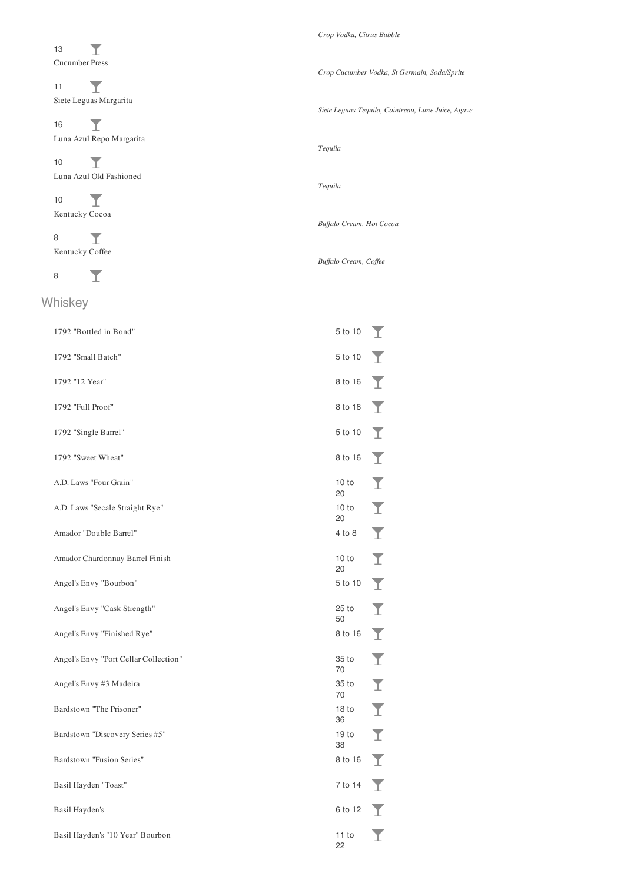$\overline{I}$ 13 Cucumber Press

 $\overline{\mathbb{I}}$ 11 Siete Leguas Margarita

 $\overline{I}$ 16 Luna Azul Repo Margarita

 $\overline{\mathbb{I}}$ 10 Luna Azul Old Fashioned

 $\overline{\mathbf{I}}$ 10 Kentucky Cocoa

 $\overline{\mathbb{T}}$ 8 Kentucky Coffee

 $\overline{\mathbb{T}}$ 8

#### Whiskey

| 1792 "Bottled in Bond"                | 5 to 10                | T                       |
|---------------------------------------|------------------------|-------------------------|
| 1792 "Small Batch"                    | 5 to 10                | T                       |
| 1792 "12 Year"                        | 8 to 16                | T                       |
| 1792 "Full Proof"                     | 8 to 16                | Y                       |
| 1792 "Single Barrel"                  | 5 to 10                | Y                       |
| 1792 "Sweet Wheat"                    | 8 to 16                | I                       |
| A.D. Laws "Four Grain"                | 10 to<br>20            | $\blacktriangledown$    |
| A.D. Laws "Secale Straight Rye"       | 10 to<br>20            | Ī                       |
| Amador "Double Barrel"                | 4 to 8                 | Y                       |
| Amador Chardonnay Barrel Finish       | 10 to<br>20            | $\overline{\mathbf{I}}$ |
| Angel's Envy "Bourbon"                | 5 to 10                | Y                       |
| Angel's Envy "Cask Strength"          | $25$ to<br>50          | $\overline{\mathbf{Y}}$ |
| Angel's Envy "Finished Rye"           | 8 to 16                | $\blacktriangledown$    |
| Angel's Envy "Port Cellar Collection" | 35 to<br>70            | Ī                       |
| Angel's Envy #3 Madeira               | 35 to<br>70            | Ī                       |
| Bardstown "The Prisoner"              | 18 <sub>to</sub><br>36 | Y                       |
| Bardstown "Discovery Series #5"       | 19 <sub>to</sub><br>38 | I                       |
| Bardstown "Fusion Series"             | 8 to 16                | I                       |
| Basil Hayden "Toast"                  | 7 to 14                | Y                       |
| Basil Hayden's                        | 6 to 12                | T                       |
| Basil Hayden's "10 Year" Bourbon      | 11 to<br>22            |                         |

#### *Crop Vodka, Citrus Bubble*

*Crop Cucumber Vodka, St Germain, Soda/Sprite*

*Siete Leguas Tequila, Cointreau, Lime Juice, Agave*

*Tequila*

*Tequila*

*Buf alo Cream, Hot Cocoa*

 $Buffer$  *Buffalo Cream*, *Coffee*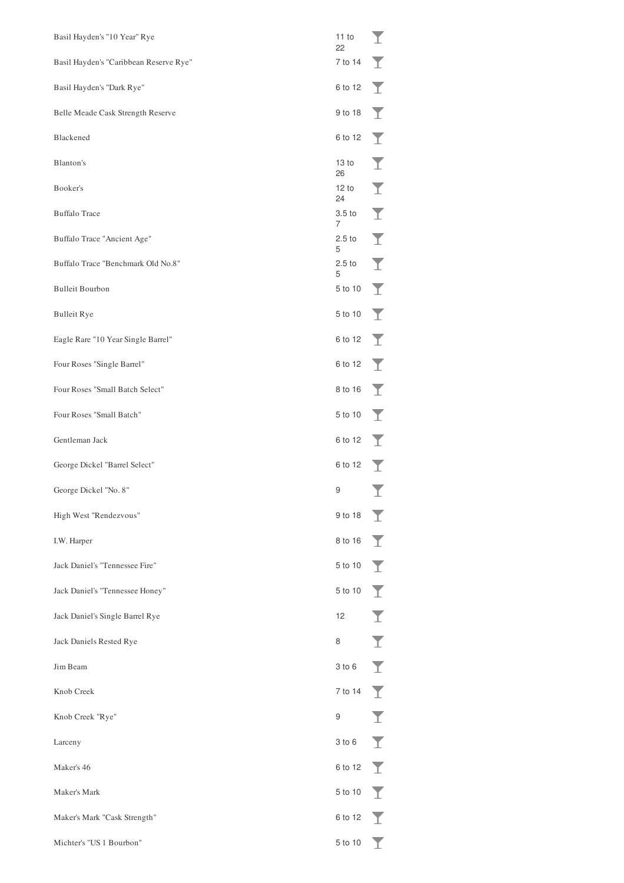| Basil Hayden's "10 Year" Rye           | 11 to<br>22            |                         |
|----------------------------------------|------------------------|-------------------------|
| Basil Hayden's "Caribbean Reserve Rye" | 7 to 14                | T                       |
| Basil Hayden's "Dark Rye"              | 6 to 12                | Y                       |
| Belle Meade Cask Strength Reserve      | 9 to 18                | T                       |
| Blackened                              | 6 to 12                | T                       |
| Blanton's                              | 13 to<br>26            | Y                       |
| Booker's                               | 12 to<br>24            | Ī                       |
| <b>Buffalo Trace</b>                   | 3.5 to<br>7            | $\overline{\mathbf{I}}$ |
| Buffalo Trace "Ancient Age"            | 2.5 <sub>to</sub><br>5 | $\overline{\mathbf{I}}$ |
| Buffalo Trace "Benchmark Old No.8"     | 2.5 <sub>to</sub><br>5 | Y                       |
| <b>Bulleit Bourbon</b>                 | 5 to 10                | T                       |
| <b>Bulleit Rye</b>                     | 5 to 10                | Y                       |
| Eagle Rare "10 Year Single Barrel"     | 6 to 12                | T                       |
| Four Roses "Single Barrel"             | 6 to 12                | Y                       |
| Four Roses "Small Batch Select"        | 8 to 16                | T                       |
| Four Roses "Small Batch"               | 5 to 10                | T                       |
| Gentleman Jack                         | 6 to 12                | T                       |
| George Dickel "Barrel Select"          | 6 to 12                |                         |
| George Dickel "No. 8"                  | 9                      |                         |
| High West "Rendezvous"                 | 9 to 18                |                         |
| I.W. Harper                            | $8 \text{ to } 16$     |                         |
| Jack Daniel's "Tennessee Fire"         | 5 to 10 $\sqrt{ }$     |                         |
| Jack Daniel's "Tennessee Honey"        | 5 to 10                |                         |
| Jack Daniel's Single Barrel Rye        | 12                     | I                       |
| Jack Daniels Rested Rye                | 8                      | $\overline{\mathbf{I}}$ |
| Jim Beam                               | 3 to 6                 |                         |
| Knob Creek                             | 7 to 14 $\top$         |                         |
| Knob Creek "Rye"                       | 9                      | I                       |
| Larceny                                | 3 to 6                 |                         |
| Maker's 46                             | 6 to 12 $\sqrt{ }$     |                         |
| Maker's Mark                           | 5 to 10                |                         |
| Maker's Mark "Cask Strength"           | 6 to 12 $\top$         |                         |
| Michter's "US 1 Bourbon"               |                        | T.                      |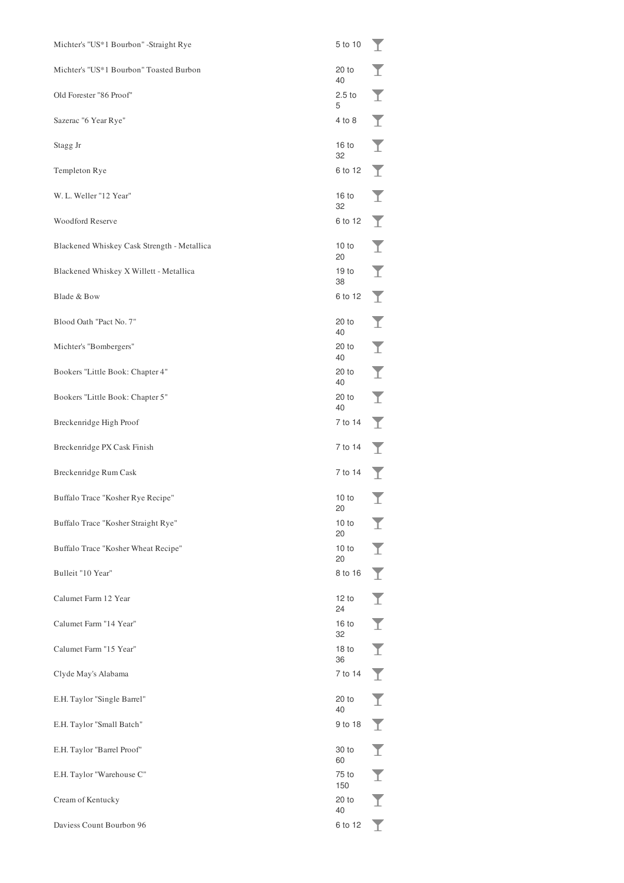| Michter's "US*1 Bourbon" -Straight Rye      | 5 to 10                | T |
|---------------------------------------------|------------------------|---|
| Michter's "US*1 Bourbon" Toasted Burbon     | $20$ to<br>40          | T |
| Old Forester "86 Proof"                     | 2.5 <sub>to</sub><br>5 | T |
| Sazerac "6 Year Rye"                        | 4 to 8                 | T |
| Stagg Jr                                    | 16 <sub>to</sub><br>32 | Y |
| Templeton Rye                               | 6 to 12                | T |
| W. L. Weller "12 Year"                      | 16 <sub>to</sub><br>32 | Y |
| <b>Woodford Reserve</b>                     | 6 to 12                | T |
| Blackened Whiskey Cask Strength - Metallica | 10 to<br>20            | Y |
| Blackened Whiskey X Willett - Metallica     | 19 <sub>to</sub><br>38 | T |
| Blade & Bow                                 | 6 to 12                | T |
| Blood Oath "Pact No. 7"                     | 20 to<br>40            | T |
| Michter's "Bombergers"                      | 20 to<br>40            | Ī |
| Bookers "Little Book: Chapter 4"            | 20 to<br>40            | Ī |
| Bookers "Little Book: Chapter 5"            | 20 to<br>40            | T |
| Breckenridge High Proof                     | 7 to 14                | Y |
| Breckenridge PX Cask Finish                 | 7 to 14                | Y |
| Breckenridge Rum Cask                       | 7 to 14                | T |
| Buffalo Trace "Kosher Rye Recipe"           | 10 to<br>20            | T |
| Buffalo Trace "Kosher Straight Rye"         | 10 to<br>20            | I |
| Buffalo Trace "Kosher Wheat Recipe"         | 10 to<br>20            | I |
| Bulleit "10 Year"                           | 8 to 16                | I |
| Calumet Farm 12 Year                        | 12 to<br>24            | I |
| Calumet Farm "14 Year"                      | 16 <sub>to</sub><br>32 | Ī |
| Calumet Farm "15 Year"                      | 18 <sub>to</sub><br>36 | I |
| Clyde May's Alabama                         | 7 to 14                | I |
| E.H. Taylor "Single Barrel"                 | 20 to<br>40            | I |
| E.H. Taylor "Small Batch"                   | 9 to 18                | I |
| E.H. Taylor "Barrel Proof"                  | 30 to<br>60            | I |
| E.H. Taylor "Warehouse C"                   | 75 to<br>150           | I |
| Cream of Kentucky                           | $20$ to<br>40          | I |
| Daviess Count Bourbon 96                    | 6 to 12                | I |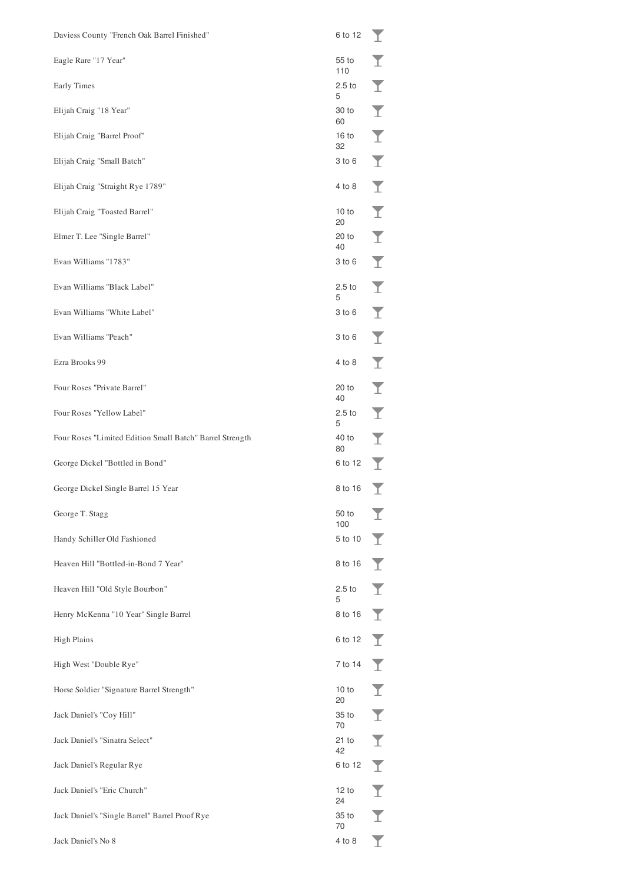| Daviess County "French Oak Barrel Finished"              | 6 to 12                | T                       |
|----------------------------------------------------------|------------------------|-------------------------|
| Eagle Rare "17 Year"                                     | 55 to<br>110           | T                       |
| Early Times                                              | 2.5 <sub>to</sub><br>5 | Y                       |
| Elijah Craig "18 Year"                                   | 30 to<br>60            | Y                       |
| Elijah Craig "Barrel Proof"                              | 16 <sub>to</sub><br>32 | Ī                       |
| Elijah Craig "Small Batch"                               | 3 to 6                 | T                       |
| Elijah Craig "Straight Rye 1789"                         | 4 to 8                 | Y                       |
| Elijah Craig "Toasted Barrel"                            | 10 to<br>20            | T                       |
| Elmer T. Lee "Single Barrel"                             | 20 to<br>40            | T                       |
| Evan Williams "1783"                                     | 3 to 6                 | T                       |
| Evan Williams "Black Label"                              | 2.5 <sub>to</sub><br>5 | Y                       |
| Evan Williams "White Label"                              | 3 to 6                 | Y                       |
| Evan Williams "Peach"                                    | 3 to 6                 | Y                       |
| Ezra Brooks 99                                           | 4 to 8                 | Y                       |
| Four Roses "Private Barrel"                              | 20 to<br>40            | T                       |
| Four Roses "Yellow Label"                                | 2.5 <sub>to</sub><br>5 | Ī                       |
| Four Roses "Limited Edition Small Batch" Barrel Strength | 40 to<br>80            | $\overline{\mathbf{I}}$ |
| George Dickel "Bottled in Bond"                          | 6 to 12                | T                       |
| George Dickel Single Barrel 15 Year                      | 8 to 16                | T                       |
| George T. Stagg                                          | 50 to<br>100           |                         |
| Handy Schiller Old Fashioned                             | 5 to 10                | T                       |
| Heaven Hill "Bottled-in-Bond 7 Year"                     | 8 to 16                | T                       |
| Heaven Hill "Old Style Bourbon"                          | 2.5 <sub>to</sub><br>5 | Y                       |
| Henry McKenna "10 Year" Single Barrel                    | 8 to 16                | T                       |
| <b>High Plains</b>                                       | 6 to 12                | $\top$                  |
| High West "Double Rye"                                   | 7 to 14                | T                       |
| Horse Soldier "Signature Barrel Strength"                | 10 to<br>20            | Y                       |
| Jack Daniel's "Coy Hill"                                 | 35 to<br>70            | T                       |
| Jack Daniel's "Sinatra Select"                           | 21 to<br>42            | T                       |
| Jack Daniel's Regular Rye                                | 6 to 12                | Y                       |
| Jack Daniel's "Eric Church"                              | 12 to<br>24            | Y                       |
| Jack Daniel's "Single Barrel" Barrel Proof Rye           | 35 to<br>70            | I                       |
| Jack Daniel's No 8                                       | 4 to 8                 |                         |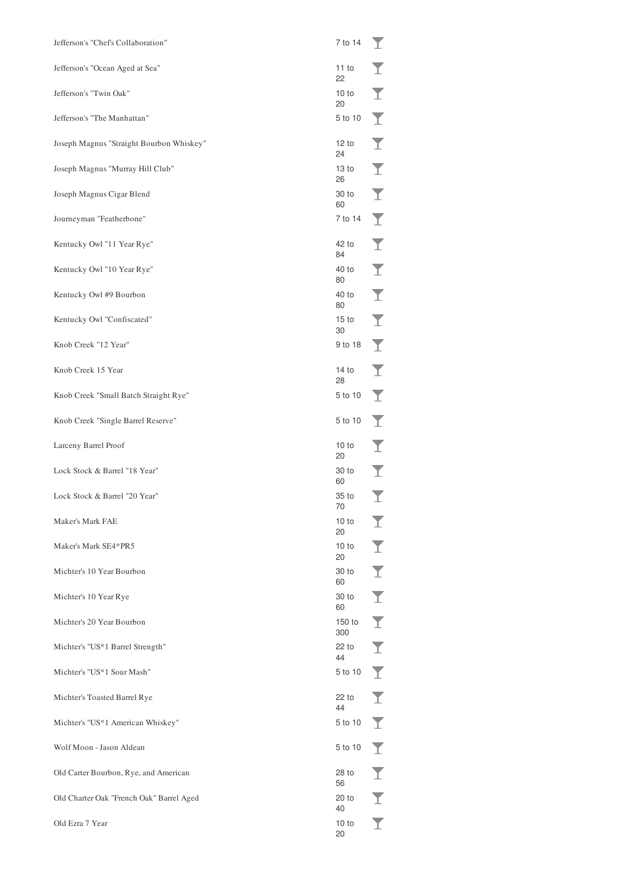| Jefferson's "Chef's Collaboration"       | 7 to 14                | T |
|------------------------------------------|------------------------|---|
| Jefferson's "Ocean Aged at Sea"          | 11 to<br>22            |   |
| Jefferson's "Twin Oak"                   | 10 to<br>20            | T |
| Jefferson's "The Manhattan"              | 5 to 10                | T |
| Joseph Magnus "Straight Bourbon Whiskey" | 12 to<br>24            | T |
| Joseph Magnus "Murray Hill Club"         | 13 to<br>26            | Y |
| Joseph Magnus Cigar Blend                | 30 to<br>60            | T |
| Journeyman "Featherbone"                 | 7 to 14                | Y |
| Kentucky Owl "11 Year Rye"               | 42 to<br>84            | T |
| Kentucky Owl "10 Year Rye"               | 40 to<br>80            | T |
| Kentucky Owl #9 Bourbon                  | 40 to<br>80            | T |
| Kentucky Owl "Confiscated"               | 15 <sub>to</sub><br>30 | T |
| Knob Creek "12 Year"                     | 9 to 18                | Y |
| Knob Creek 15 Year                       | 14 to<br>28            | Y |
| Knob Creek "Small Batch Straight Rye"    | 5 to 10                | Y |
| Knob Creek "Single Barrel Reserve"       | 5 to 10                | Y |
| Larceny Barrel Proof                     | 10 to<br>20            | T |
| Lock Stock & Barrel "18 Year"            | 30 to<br>60            | Y |
| Lock Stock & Barrel "20 Year"            | 35 to<br>70            | T |
| Maker's Mark FAE                         | 10 to<br>20            | I |
| Maker's Mark SE4*PR5                     | 10 to<br>20            | I |
| Michter's 10 Year Bourbon                | 30 to<br>60            | I |
| Michter's 10 Year Rye                    | 30 to<br>60            | I |
| Michter's 20 Year Bourbon                | 150 to<br>300          | I |
| Michter's "US*1 Barrel Strength"         | 22 to<br>44            | I |
| Michter's "US*1 Sour Mash"               | 5 to 10                | I |
| Michter's Toasted Barrel Rye             | 22 to<br>44            | I |
| Michter's "US*1 American Whiskey"        | 5 to 10                | I |
|                                          |                        |   |
| Wolf Moon - Jason Aldean                 | 5 to 10                | I |
| Old Carter Bourbon, Rye, and American    | 28 to<br>56            | Ī |
| Old Charter Oak "French Oak" Barrel Aged | 20 to<br>40            | I |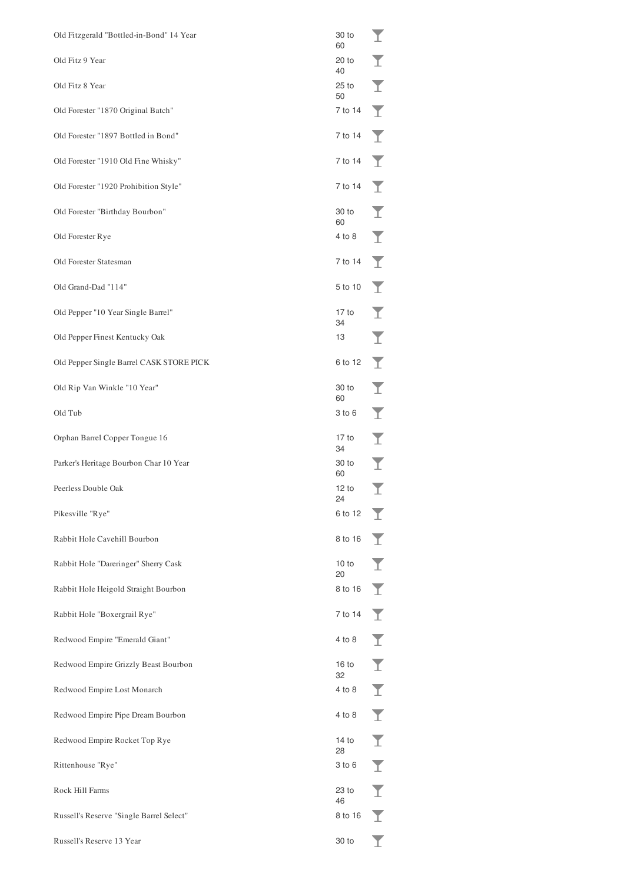| Old Fitzgerald "Bottled-in-Bond" 14 Year | 30 to<br>60   | I                       |
|------------------------------------------|---------------|-------------------------|
| Old Fitz 9 Year                          | 20 to<br>40   | I                       |
| Old Fitz 8 Year                          | $25$ to<br>50 | $\blacktriangledown$    |
| Old Forester "1870 Original Batch"       | 7 to 14       | Y                       |
| Old Forester "1897 Bottled in Bond"      | 7 to 14       | T                       |
| Old Forester "1910 Old Fine Whisky"      | 7 to 14       | T                       |
| Old Forester "1920 Prohibition Style"    | 7 to 14       | T                       |
| Old Forester "Birthday Bourbon"          | 30 to<br>60   | T                       |
| Old Forester Rye                         | 4 to 8        | T                       |
| Old Forester Statesman                   | 7 to 14       | T                       |
| Old Grand-Dad "114"                      | 5 to 10       | T                       |
| Old Pepper "10 Year Single Barrel"       | 17 to<br>34   | Y                       |
| Old Pepper Finest Kentucky Oak           | 13            | Ī                       |
| Old Pepper Single Barrel CASK STORE PICK | 6 to 12       | Y                       |
| Old Rip Van Winkle "10 Year"             | 30 to<br>60   | Y                       |
| Old Tub                                  | 3 to 6        | $\overline{\mathbf{I}}$ |
| Orphan Barrel Copper Tongue 16           | 17 to<br>34   | I                       |
| Parker's Heritage Bourbon Char 10 Year   | 30 to<br>60   | I                       |
| Peerless Double Oak                      | 12 to<br>24   | T                       |
| Pikesville "Rye"                         | 6 to 12       | T                       |
| Rabbit Hole Cavehill Bourbon             | 8 to 16       |                         |
| Rabbit Hole "Dareringer" Sherry Cask     | 10 to<br>20   | I                       |
| Rabbit Hole Heigold Straight Bourbon     | 8 to 16       | I                       |
| Rabbit Hole "Boxergrail Rye"             | 7 to 14       | I                       |
| Redwood Empire "Emerald Giant"           | 4 to 8        | I                       |
| Redwood Empire Grizzly Beast Bourbon     | 16 to<br>32   | Ī                       |
| Redwood Empire Lost Monarch              | 4 to 8        | I                       |
| Redwood Empire Pipe Dream Bourbon        | 4 to 8        | Ī                       |
| Redwood Empire Rocket Top Rye            | 14 to<br>28   | Ī                       |
| Rittenhouse "Rye"                        | 3 to 6        | I                       |
| Rock Hill Farms                          | 23 to<br>46   | I                       |
| Russell's Reserve "Single Barrel Select" | 8 to 16       |                         |
| Russell's Reserve 13 Year                | 30 to         |                         |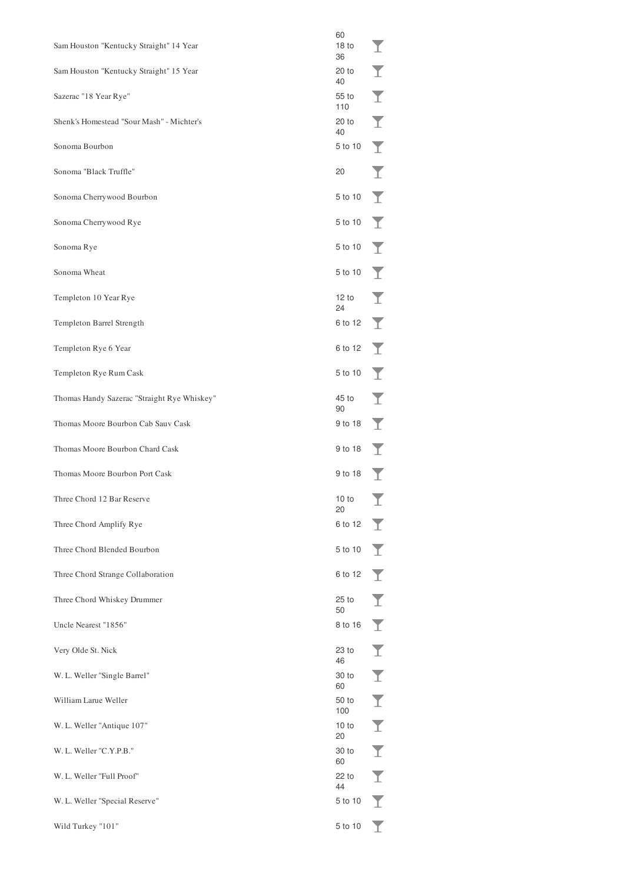| Sam Houston "Kentucky Straight" 14 Year     | 60<br>18 <sub>to</sub><br>36 | T                       |
|---------------------------------------------|------------------------------|-------------------------|
| Sam Houston "Kentucky Straight" 15 Year     | 20 to<br>40                  | Y                       |
| Sazerac "18 Year Rye"                       | 55 to<br>110                 | Ī                       |
| Shenk's Homestead "Sour Mash" - Michter's   | 20 to<br>40                  | Ī                       |
| Sonoma Bourbon                              | 5 to 10                      | $\overline{\mathbf{I}}$ |
| Sonoma "Black Truffle"                      | 20                           | T                       |
| Sonoma Cherrywood Bourbon                   | 5 to 10                      | T                       |
| Sonoma Cherrywood Rye                       | 5 to 10                      | Y                       |
| Sonoma Rye                                  | 5 to 10                      | T                       |
| Sonoma Wheat                                | 5 to 10                      | Y                       |
| Templeton 10 Year Rye                       | 12 to<br>24                  | T                       |
| Templeton Barrel Strength                   | 6 to 12                      | Y                       |
| Templeton Rye 6 Year                        | 6 to 12                      | T                       |
| Templeton Rye Rum Cask                      | 5 to 10                      | T                       |
| Thomas Handy Sazerac "Straight Rye Whiskey" | 45 to<br>90                  | Y                       |
| Thomas Moore Bourbon Cab Sauv Cask          | 9 to 18                      | T                       |
| Thomas Moore Bourbon Chard Cask             | 9 to 18                      | Y                       |
| Thomas Moore Bourbon Port Cask              | 9 to 18                      | T                       |
| Three Chord 12 Bar Reserve                  | 10 to<br>20                  | ᅩ                       |
| Three Chord Amplify Rye                     | 6 to 12                      | T                       |
| Three Chord Blended Bourbon                 | 5 to 10                      | $\blacktriangledown$    |
| Three Chord Strange Collaboration           | 6 to 12                      | I                       |
| Three Chord Whiskey Drummer                 | $25$ to<br>50                | I                       |
| Uncle Nearest "1856"                        | 8 to 16                      | $\blacktriangledown$    |
| Very Olde St. Nick                          | 23 to<br>46                  | I                       |
| W. L. Weller "Single Barrel"                | 30 to<br>60                  | Ī                       |
| William Larue Weller                        | 50 to<br>100                 | Ī                       |
| W. L. Weller "Antique 107"                  | 10 to<br>20                  | $\overline{\mathbf{I}}$ |
| W. L. Weller "C.Y.P.B."                     | 30 to<br>60                  | $\overline{\mathbf{I}}$ |
| W. L. Weller "Full Proof"                   | 22 to<br>44                  | Ī                       |
| W. L. Weller "Special Reserve"              | 5 to 10                      | I                       |
| Wild Turkey "101"                           | 5 to 10                      | Y                       |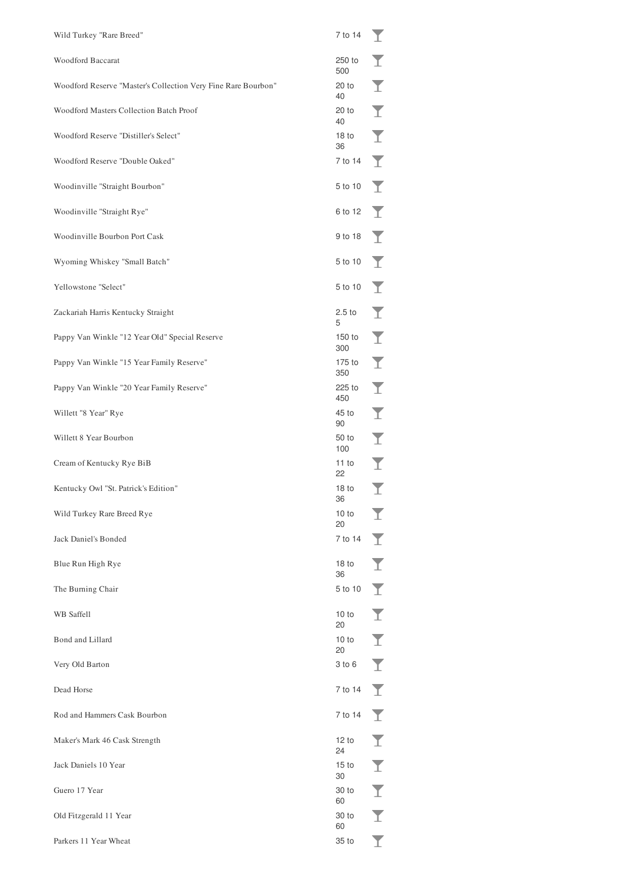| Wild Turkey "Rare Breed"                                      | 7 to 14                | T                       |
|---------------------------------------------------------------|------------------------|-------------------------|
| <b>Woodford Baccarat</b>                                      | 250 to<br>500          | T                       |
| Woodford Reserve "Master's Collection Very Fine Rare Bourbon" | $20$ to<br>40          | T                       |
| Woodford Masters Collection Batch Proof                       | 20 to<br>40            | T                       |
| Woodford Reserve "Distiller's Select"                         | 18 <sub>to</sub><br>36 | T                       |
| Woodford Reserve "Double Oaked"                               | 7 to 14                | Y                       |
| Woodinville "Straight Bourbon"                                | 5 to 10                | Y                       |
| Woodinville "Straight Rye"                                    | 6 to 12                | Y                       |
| Woodinville Bourbon Port Cask                                 | 9 to 18                | Y                       |
| Wyoming Whiskey "Small Batch"                                 | 5 to 10                | Y                       |
| Yellowstone "Select"                                          | 5 to 10                | Y                       |
| Zackariah Harris Kentucky Straight                            | 2.5 <sub>to</sub><br>5 | Y                       |
| Pappy Van Winkle "12 Year Old" Special Reserve                | 150 to<br>300          | Y                       |
| Pappy Van Winkle "15 Year Family Reserve"                     | 175 to<br>350          | T                       |
| Pappy Van Winkle "20 Year Family Reserve"                     | 225 to<br>450          | T                       |
| Willett "8 Year" Rye                                          | 45 to<br>90            | $\overline{\mathbf{I}}$ |
| Willett 8 Year Bourbon                                        | 50 to<br>100           | $\overline{\mathbf{I}}$ |
| Cream of Kentucky Rye BiB                                     | 11 to<br>22            | $\overline{\mathbf{I}}$ |
| Kentucky Owl "St. Patrick's Edition"                          | 18 <sub>to</sub><br>36 | Ī                       |
| Wild Turkey Rare Breed Rye                                    | 10 to<br>20            |                         |
| Jack Daniel's Bonded                                          | 7 to 14                |                         |
| Blue Run High Rye                                             | 18 <sub>to</sub><br>36 | T                       |
| The Burning Chair                                             | 5 to 10                | T                       |
| <b>WB</b> Saffell                                             | 10 to<br>20            | T                       |
| Bond and Lillard                                              | 10 to<br>20            | T                       |
| Very Old Barton                                               | $3$ to $6$             | T                       |
| Dead Horse                                                    | 7 to 14                | T                       |
| Rod and Hammers Cask Bourbon                                  | 7 to 14                | T                       |
| Maker's Mark 46 Cask Strength                                 | 12 to<br>24            | Y                       |
| Jack Daniels 10 Year                                          | 15 <sub>to</sub><br>30 | I                       |
| Guero 17 Year                                                 | 30 to<br>60            | I                       |
| Old Fitzgerald 11 Year                                        | 30 to<br>60            | I                       |
| Parkers 11 Year Wheat                                         | 35 to                  |                         |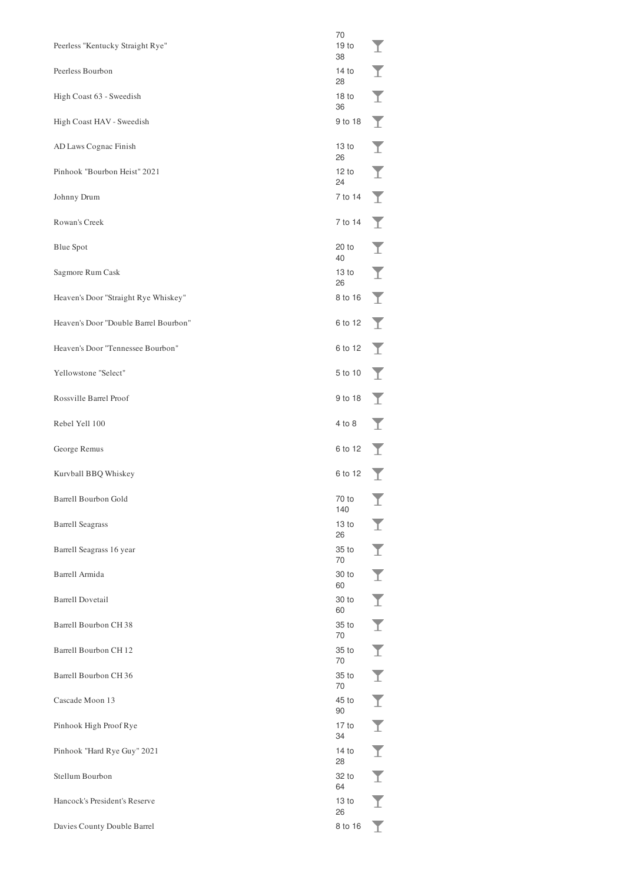| Peerless "Kentucky Straight Rye"      | 70<br>19 <sub>to</sub><br>38 | T |
|---------------------------------------|------------------------------|---|
| Peerless Bourbon                      | 14 to<br>28                  | I |
| High Coast 63 - Sweedish              | 18 <sub>to</sub><br>36       | Ī |
| High Coast HAV - Sweedish             | 9 to 18                      | Y |
| AD Laws Cognac Finish                 | 13 <sub>to</sub><br>26       | I |
| Pinhook "Bourbon Heist" 2021          | 12 to<br>24                  | Ī |
| Johnny Drum                           | 7 to 14                      | Y |
| Rowan's Creek                         | 7 to 14                      | T |
| <b>Blue Spot</b>                      | $20$ to<br>40                | I |
| Sagmore Rum Cask                      | 13 <sub>to</sub><br>26       | I |
| Heaven's Door "Straight Rye Whiskey"  | 8 to 16                      | T |
| Heaven's Door "Double Barrel Bourbon" | 6 to 12                      | T |
| Heaven's Door "Tennessee Bourbon"     | 6 to 12                      | T |
| Yellowstone "Select"                  | 5 to 10                      | T |
| Rossville Barrel Proof                | 9 to 18                      | T |
| Rebel Yell 100                        | 4 to 8                       | T |
| George Remus                          | 6 to 12                      | T |
| Kurvball BBQ Whiskey                  | 6 to 12                      | T |
| Barrell Bourbon Gold                  | 70 to<br>140                 |   |
| <b>Barrell Seagrass</b>               | 13 <sub>to</sub><br>26       | I |
|                                       |                              | I |
| Barrell Seagrass 16 year              | 35 to<br>70                  |   |
| Barrell Armida                        | 30 to<br>60                  | Ī |
| <b>Barrell Dovetail</b>               | 30 to<br>60                  | Ī |
| Barrell Bourbon CH 38                 | 35 to                        | Ī |
| Barrell Bourbon CH 12                 | 70<br>35 to                  | Ī |
| Barrell Bourbon CH 36                 | 70<br>35 to                  | Ī |
| Cascade Moon 13                       | 70<br>45 to                  | Ī |
| Pinhook High Proof Rye                | 90<br>17 to                  | Ī |
| Pinhook "Hard Rye Guy" 2021           | 34<br>14 to                  | Ī |
| Stellum Bourbon                       | 28<br>32 to                  | Ī |
| Hancock's President's Reserve         | 64<br>13 to<br>26            | Ī |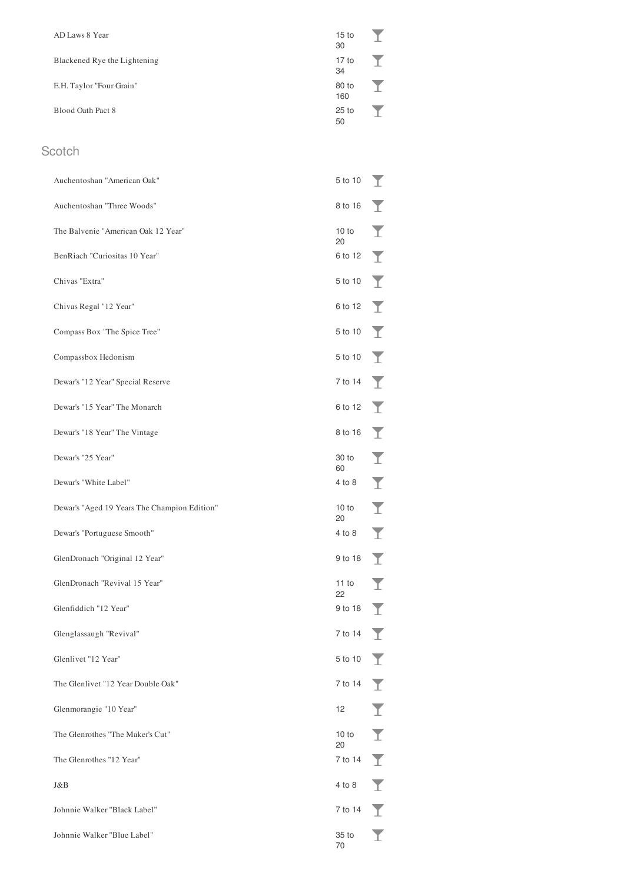| AD Laws 8 Year               | 15 <sub>to</sub><br>30 |  |
|------------------------------|------------------------|--|
| Blackened Rye the Lightening | 17 <sub>to</sub><br>34 |  |
| E.H. Taylor "Four Grain"     | 80 to<br>160           |  |
| Blood Oath Pact 8            | 25 to<br>50            |  |

#### Scotch

| Auchentoshan "American Oak"                  | 5 to 10     |   |
|----------------------------------------------|-------------|---|
| Auchentoshan "Three Woods"                   | 8 to 16     |   |
| The Balvenie "American Oak 12 Year"          | 10 to<br>20 |   |
| BenRiach "Curiositas 10 Year"                | 6 to 12     |   |
| Chivas "Extra"                               | 5 to 10     |   |
| Chivas Regal "12 Year"                       | 6 to 12     |   |
| Compass Box "The Spice Tree"                 | 5 to 10     |   |
| Compassbox Hedonism                          | 5 to 10     |   |
| Dewar's "12 Year" Special Reserve            | 7 to 14     |   |
| Dewar's "15 Year" The Monarch                | 6 to 12     |   |
| Dewar's "18 Year" The Vintage                | 8 to 16     |   |
| Dewar's "25 Year"                            | 30 to<br>60 |   |
| Dewar's "White Label"                        | 4 to 8      |   |
| Dewar's "Aged 19 Years The Champion Edition" | 10 to<br>20 |   |
| Dewar's "Portuguese Smooth"                  | 4 to 8      | Y |
| GlenDronach "Original 12 Year"               | 9 to 18     |   |
| GlenDronach "Revival 15 Year"                | 11 to<br>22 |   |
| Glenfiddich "12 Year"                        | 9 to 18     |   |
| Glenglassaugh "Revival"                      | 7 to 14     |   |
| Glenlivet "12 Year"                          | 5 to 10     |   |
| The Glenlivet "12 Year Double Oak"           | 7 to 14     |   |
| Glenmorangie "10 Year"                       | 12          |   |
| The Glenrothes "The Maker's Cut"             | 10 to<br>20 |   |
| The Glenrothes "12 Year"                     | 7 to 14     |   |
| J&B                                          | 4 to 8      |   |
| Johnnie Walker "Black Label"                 | 7 to 14     |   |
| Johnnie Walker "Blue Label"                  | 35 to<br>70 |   |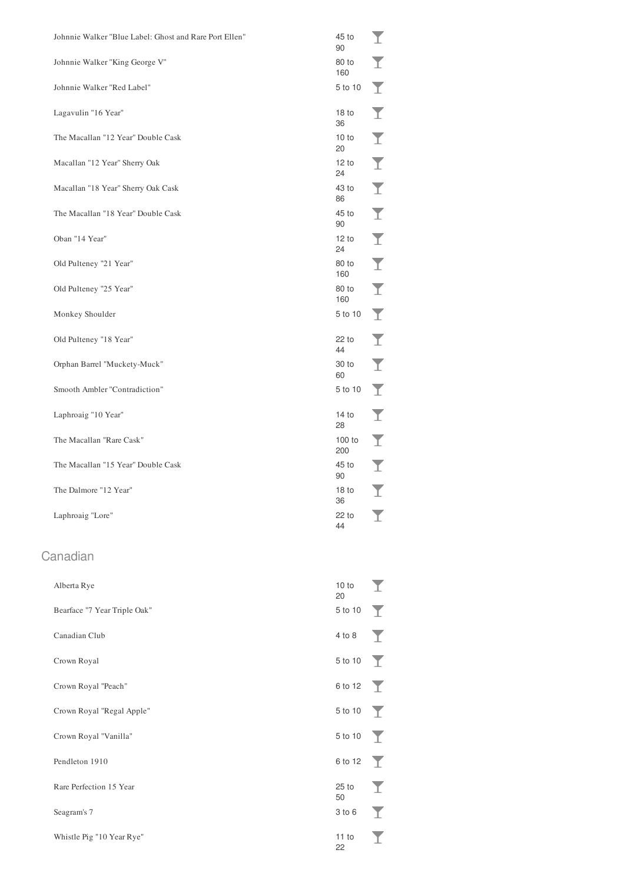| Johnnie Walker "Blue Label: Ghost and Rare Port Ellen" | 45 to<br>90            |    |
|--------------------------------------------------------|------------------------|----|
| Johnnie Walker "King George V"                         | 80 to<br>160           |    |
| Johnnie Walker "Red Label"                             | 5 to 10                |    |
| Lagavulin "16 Year"                                    | 18 <sub>to</sub><br>36 |    |
| The Macallan "12 Year" Double Cask                     | 10 to<br>20            |    |
| Macallan "12 Year" Sherry Oak                          | 12 to<br>24            | T  |
| Macallan "18 Year" Sherry Oak Cask                     | 43 to<br>86            | T  |
| The Macallan "18 Year" Double Cask                     | 45 to<br>90            | T  |
| Oban "14 Year"                                         | 12 to<br>24            | T  |
| Old Pulteney "21 Year"                                 | 80 to<br>160           | T  |
| Old Pulteney "25 Year"                                 | 80 to<br>160           | T  |
| Monkey Shoulder                                        | 5 to 10                | T  |
| Old Pulteney "18 Year"                                 | 22 to<br>44            |    |
| Orphan Barrel "Muckety-Muck"                           | 30 to<br>60            | T  |
| Smooth Ambler "Contradiction"                          | 5 to 10                | T  |
| Laphroaig "10 Year"                                    | 14 to<br>28            |    |
| The Macallan "Rare Cask"                               | 100 to<br>200          |    |
| The Macallan "15 Year" Double Cask                     | 45 to<br>90            |    |
| The Dalmore "12 Year"                                  | 18 <sub>to</sub><br>36 |    |
| Laphroaig "Lore"                                       | 22 to<br>44            |    |
|                                                        |                        |    |
| Canadian                                               |                        |    |
| Alberta Rye                                            | 10 to<br>20            |    |
| Bearface "7 Year Triple Oak"                           | 5 to 10                |    |
| Canadian Club                                          | 4 to 8                 |    |
| Crown Royal                                            | 5 to 10                | T  |
| Crown Royal "Peach"                                    | 6 to 12                | T  |
| Crown Royal "Regal Apple"                              | 5 to 10                | T  |
| Crown Royal "Vanilla"                                  | 5 to 10                | T  |
| Pendleton 1910                                         | 6 to 12                | T  |
| Rare Perfection 15 Year                                | $25$ to<br>50          |    |
| Seagram's 7                                            | 3 to 6                 |    |
| Whistle Pig "10 Year Rye"                              | 11 to<br>22            | T. |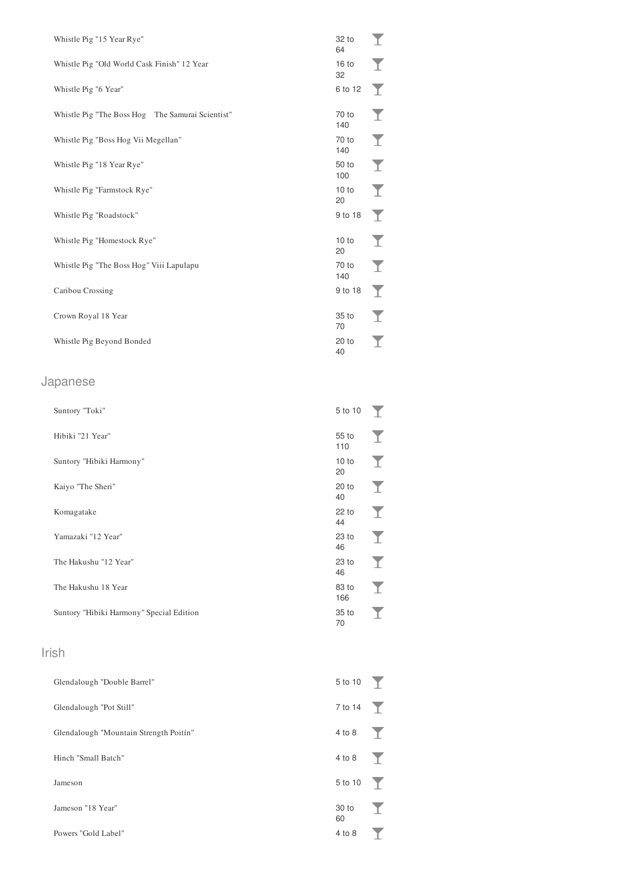| Whistle Pig "15 Year Rye"                        | 32 to<br>64            |   |
|--------------------------------------------------|------------------------|---|
| Whistle Pig "Old World Cask Finish" 12 Year      | 16 <sub>to</sub><br>32 |   |
| Whistle Pig "6 Year"                             | 6 to 12                | T |
| Whistle Pig "The Boss Hog The Samurai Scientist" | 70 to<br>140           |   |
| Whistle Pig "Boss Hog Vii Megellan"              | 70 to<br>140           | T |
| Whistle Pig "18 Year Rye"                        | 50 to<br>100           | T |
| Whistle Pig "Farmstock Rye"                      | 10 to<br>20            | Y |
|                                                  |                        |   |
| Whistle Pig "Roadstock"                          | 9 to 18                | T |
| Whistle Pig "Homestock Rye"                      | 10 to<br>20            |   |
| Whistle Pig "The Boss Hog" Viii Lapulapu         | 70 to<br>140           | T |
| Caribou Crossing                                 | 9 to 18                | T |
| Crown Royal 18 Year                              | 35 to<br>70            |   |
| Whistle Pig Beyond Bonded                        | $20$ to<br>40          | T |

## Japanese

| Suntory "Toki"                           | 5 to 10                |    |
|------------------------------------------|------------------------|----|
| Hibiki "21 Year"                         | 55 to<br>110           | т. |
| Suntory "Hibiki Harmony"                 | 10 to<br>20            |    |
| Kaiyo "The Sheri"                        | 20 to<br>40            |    |
| Komagatake                               | 22 to<br>44            |    |
| Yamazaki "12 Year"                       | 23 to<br>46            |    |
| The Hakushu "12 Year"                    | 23 to<br>46            | T  |
| The Hakushu 18 Year                      | 83 to<br>166           |    |
| Suntory "Hibiki Harmony" Special Edition | 35 <sub>to</sub><br>70 |    |

## Irish

| Glendalough "Double Barrel"            | $5$ to $10$        |  |
|----------------------------------------|--------------------|--|
| Glendalough "Pot Still"                | $7 \text{ to } 14$ |  |
| Glendalough "Mountain Strength Poitín" | 4 to 8             |  |
| Hinch "Small Batch"                    | 4 to 8             |  |
| Jameson                                | 5 to 10            |  |
| Jameson "18 Year"                      | 30 to<br>60        |  |
| Powers "Gold Label"                    | 4 to 8             |  |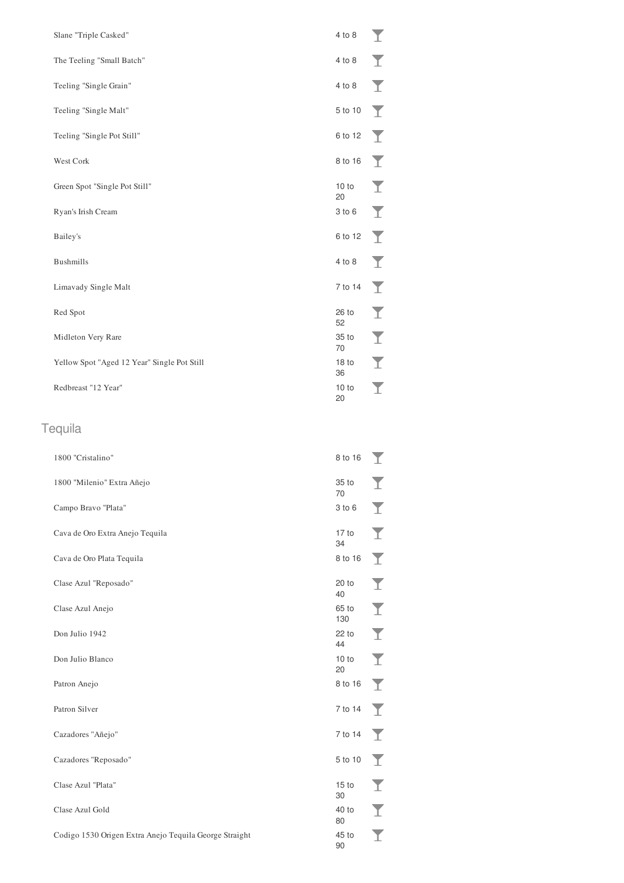| Slane "Triple Casked"                       | 4 to 8                 | T |
|---------------------------------------------|------------------------|---|
| The Teeling "Small Batch"                   | $4$ to $8$             | T |
| Teeling "Single Grain"                      | 4 to 8                 | Y |
| Teeling "Single Malt"                       | 5 to 10                | T |
| Teeling "Single Pot Still"                  | 6 to 12                | T |
| West Cork                                   | 8 to 16                |   |
| Green Spot "Single Pot Still"               | 10 to<br>20            | T |
| Ryan's Irish Cream                          | $3$ to $6$             | T |
| Bailey's                                    | 6 to 12                | T |
| <b>Bushmills</b>                            | 4 to 8                 | T |
| Limavady Single Malt                        | 7 to 14                | Y |
| Red Spot                                    | 26 to<br>52            | I |
| Midleton Very Rare                          | 35 to<br>70            | Ī |
| Yellow Spot "Aged 12 Year" Single Pot Still | 18 <sub>to</sub><br>36 | I |
| Redbreast "12 Year"                         | 10 to<br>20            |   |

## Tequila

| 1800 "Cristalino"                                      | 8 to 16                | T |
|--------------------------------------------------------|------------------------|---|
| 1800 "Milenio" Extra Añejo                             | 35 to<br>70            |   |
| Campo Bravo "Plata"                                    | 3 to 6                 | I |
| Cava de Oro Extra Anejo Tequila                        | 17 to<br>34            | T |
| Cava de Oro Plata Tequila                              | 8 to 16                | T |
| Clase Azul "Reposado"                                  | $20$ to<br>40          | I |
| Clase Azul Anejo                                       | 65 to<br>130           | Ī |
| Don Julio 1942                                         | 22 to<br>44            | Ī |
| Don Julio Blanco                                       | 10 to<br>20            | T |
| Patron Anejo                                           | 8 to 16                | T |
| Patron Silver                                          | 7 to 14                | T |
| Cazadores "Añejo"                                      | 7 to 14                | T |
| Cazadores "Reposado"                                   | 5 to 10                | T |
| Clase Azul "Plata"                                     | 15 <sub>to</sub><br>30 | T |
| Clase Azul Gold                                        | 40 to<br>80            | I |
| Codigo 1530 Origen Extra Anejo Tequila George Straight | 45 to<br>90            |   |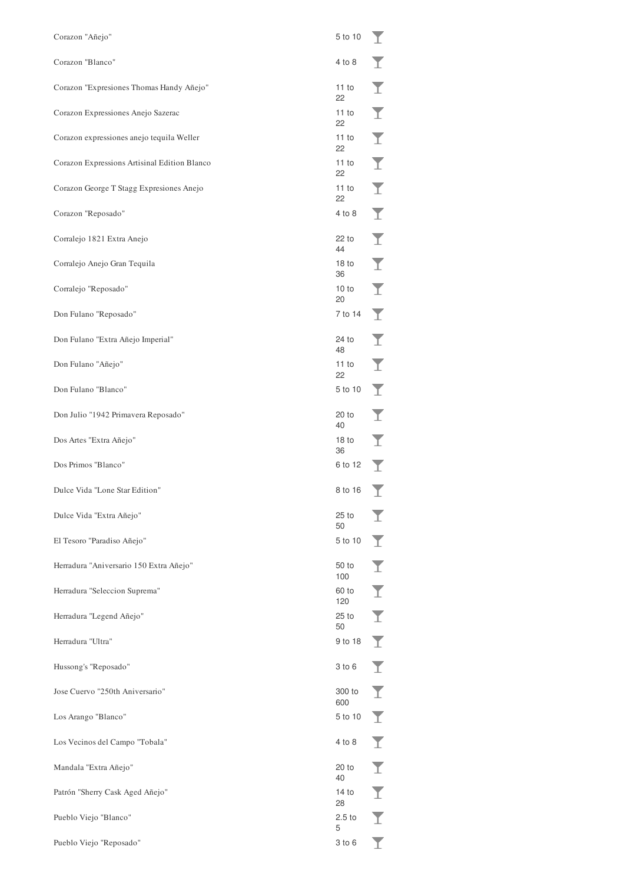| Corazon "Añejo"                              | 5 to 10                |   |
|----------------------------------------------|------------------------|---|
| Corazon "Blanco"                             | 4 to 8                 |   |
| Corazon "Expresiones Thomas Handy Añejo"     | 11 to<br>22            |   |
| Corazon Expressiones Anejo Sazerac           | 11 to<br>22            |   |
| Corazon expressiones anejo tequila Weller    | 11 to<br>22            |   |
| Corazon Expressions Artisinal Edition Blanco | 11 to<br>22            |   |
| Corazon George T Stagg Expresiones Anejo     | 11 to<br>22            |   |
| Corazon "Reposado"                           | 4 to 8                 |   |
| Corralejo 1821 Extra Anejo                   | 22 to<br>44            |   |
| Corralejo Anejo Gran Tequila                 | 18 <sub>to</sub><br>36 |   |
| Corralejo "Reposado"                         | 10 to<br>20            |   |
| Don Fulano "Reposado"                        | 7 to 14                |   |
| Don Fulano "Extra Añejo Imperial"            | 24 to<br>48            |   |
| Don Fulano "Añejo"                           | 11 to<br>22            |   |
| Don Fulano "Blanco"                          | 5 to 10                |   |
| Don Julio "1942 Primavera Reposado"          | 20 to<br>40            |   |
| Dos Artes "Extra Añejo"                      | 18 <sub>to</sub><br>36 |   |
| Dos Primos "Blanco"                          | 6 to 12                |   |
| Dulce Vida "Lone Star Edition"               | 8 to 16                |   |
| Dulce Vida "Extra Añejo"                     | 25 to<br>50            |   |
| El Tesoro "Paradiso Añejo"                   | 5 to 10                | T |
| Herradura "Aniversario 150 Extra Añejo"      | 50 to<br>100           | T |
| Herradura "Seleccion Suprema"                | 60 to<br>120           | T |
| Herradura "Legend Añejo"                     | $25$ to<br>50          | T |
| Herradura "Ultra"                            | 9 to 18                | T |
| Hussong's "Reposado"                         | $3$ to $6$             | T |
| Jose Cuervo "250th Aniversario"              | 300 to<br>600          | T |
| Los Arango "Blanco"                          | 5 to 10                | T |
| Los Vecinos del Campo "Tobala"               | 4 to 8                 | T |
| Mandala "Extra Añejo"                        | 20 to<br>40            | T |
| Patrón "Sherry Cask Aged Añejo"              | 14 to<br>28            |   |
| Pueblo Viejo "Blanco"                        | 2.5 <sub>to</sub><br>5 |   |
| Pueblo Viejo "Reposado"                      | 3 to 6                 |   |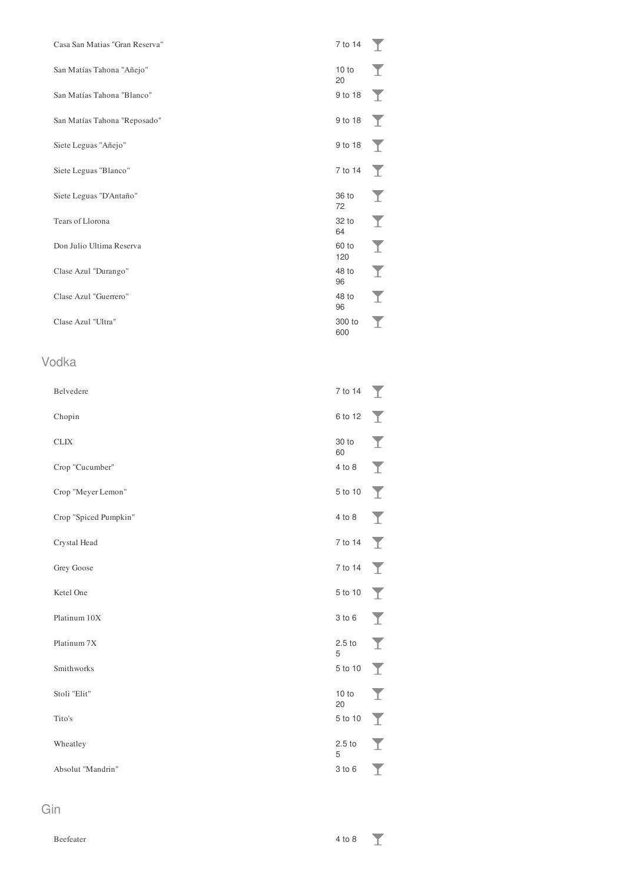| Casa San Matias "Gran Reserva" | 7 to 14                | T                    |
|--------------------------------|------------------------|----------------------|
| San Matías Tahona "Añejo"      | 10 to<br>20            | T                    |
| San Matías Tahona "Blanco"     | 9 to 18                | T                    |
| San Matías Tahona "Reposado"   | 9 to 18                | T                    |
| Siete Leguas "Añejo"           | 9 to 18                | T                    |
| Siete Leguas "Blanco"          | 7 to 14                | I                    |
| Siete Leguas "D'Antaño"        | 36 to<br>72            | $\blacktriangledown$ |
| Tears of Llorona               | 32 to<br>64            | $\blacktriangledown$ |
| Don Julio Ultima Reserva       | 60 to<br>120           | I                    |
| Clase Azul "Durango"           | 48 to<br>96            | I                    |
| Clase Azul "Guerrero"          | 48 to<br>96            | I                    |
| Clase Azul "Ultra"             | 300 to<br>600          | T                    |
| 'odka                          |                        |                      |
| Belvedere                      | 7 to 14                | I                    |
| Chopin                         | 6 to 12                | I                    |
| <b>CLIX</b>                    | 30 to<br>60            | $\blacktriangledown$ |
| Crop "Cucumber"                | $4$ to $8$             | T                    |
| Crop "Meyer Lemon"             | 5 to 10                | Т                    |
| Crop "Spiced Pumpkin"          | $4$ to $8$             |                      |
| Crystal Head                   | 7 to 14                | T                    |
| Grey Goose                     | 7 to 14                | T                    |
| Ketel One                      | 5 to 10                | T                    |
| Platinum 10X                   | 3 to 6                 | T                    |
| Platinum 7X                    | 2.5 <sub>to</sub><br>5 | T                    |
| Smithworks                     | 5 to 10                | I                    |
| Stoli "Elit"                   | 10 to<br>20            | I                    |
| Tito's                         | 5 to 10                | I                    |
| Wheatley                       | 2.5 <sub>to</sub><br>5 | T                    |
| Absolut "Mandrin"              | 3 to 6                 | T                    |
|                                |                        |                      |

# $\vee$

| v   |  |  |  |
|-----|--|--|--|
| . . |  |  |  |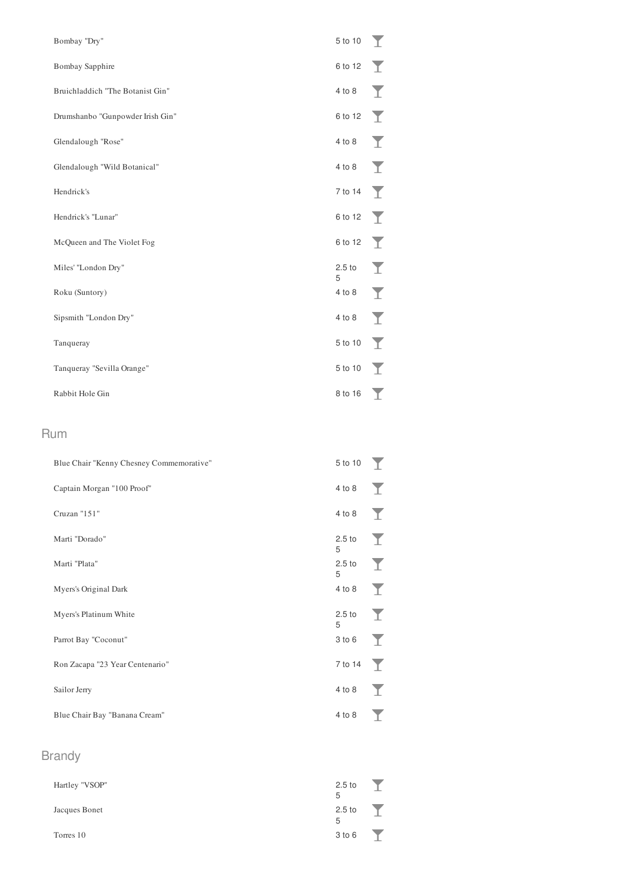| Bombay "Dry"                     | 5 to 10                | T           |
|----------------------------------|------------------------|-------------|
| Bombay Sapphire                  | 6 to 12                |             |
| Bruichladdich "The Botanist Gin" | 4 to 8                 |             |
| Drumshanbo "Gunpowder Irish Gin" | 6 to 12                | $\mathbf T$ |
| Glendalough "Rose"               | 4 to 8                 | T           |
| Glendalough "Wild Botanical"     | 4 to 8                 | $\top$      |
| Hendrick's                       | 7 to 14                | T           |
| Hendrick's "Lunar"               | 6 to 12                | T           |
| McQueen and The Violet Fog       | 6 to 12                |             |
| Miles' "London Dry"              | 2.5 <sub>to</sub><br>5 | T           |
| Roku (Suntory)                   | 4 to 8                 |             |
| Sipsmith "London Dry"            | 4 to 8                 | Y           |
| Tanqueray                        | 5 to 10                | T           |
| Tanqueray "Sevilla Orange"       | 5 to 10                | T.          |
| Rabbit Hole Gin                  | 8 to 16                |             |

#### Rum

| Blue Chair "Kenny Chesney Commemorative" | 5 to 10                |              |
|------------------------------------------|------------------------|--------------|
| Captain Morgan "100 Proof"               | 4 to 8                 | T            |
| Cruzan "151"                             | 4 to 8                 | T            |
| Marti "Dorado"                           | 2.5 <sub>to</sub><br>5 |              |
| Marti "Plata"                            | 2.5 <sub>to</sub><br>5 | $\mathbf T$  |
| Myers's Original Dark                    | 4 to 8                 | $\mathbf{Y}$ |
| Myers's Platinum White                   | 2.5 <sub>to</sub><br>5 | T            |
| Parrot Bay "Coconut"                     | 3 to 6                 |              |
| Ron Zacapa "23 Year Centenario"          | 7 to 14                | T            |
| Sailor Jerry                             | 4 to 8                 | T            |
| Blue Chair Bay "Banana Cream"            | 4 to 8                 |              |
|                                          |                        |              |

## Brandy

| Hartley "VSOP" | 2.5 <sub>to</sub><br>5 |  |
|----------------|------------------------|--|
| Jacques Bonet  | 2.5 <sub>to</sub><br>5 |  |
| Torres 10      | 3 to 6                 |  |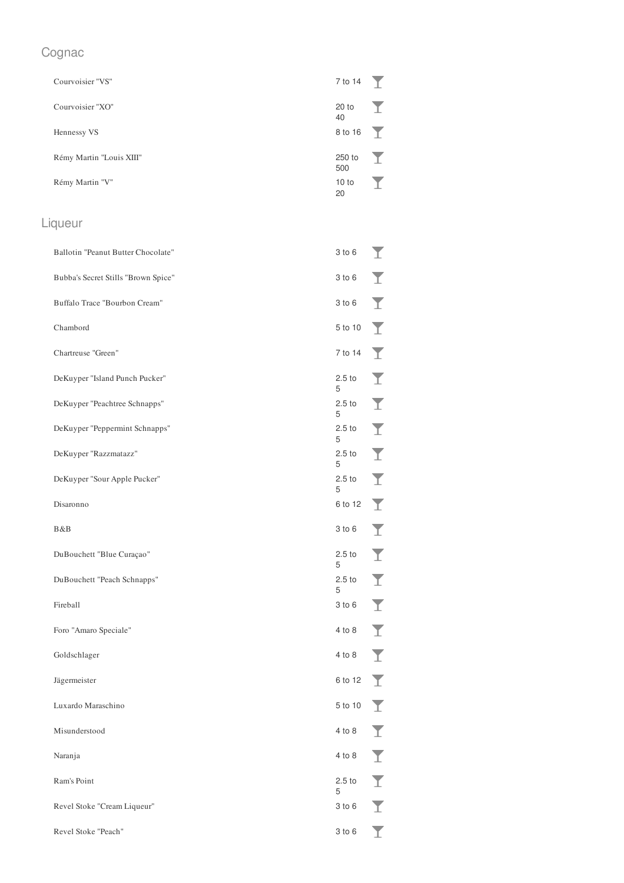## Cognac

| Courvoisier "VS"         | 7 to 14 $\top$     |   |
|--------------------------|--------------------|---|
| Courvoisier "XO"         | $20$ to<br>40      | T |
| Hennessy VS              | $8 \text{ to } 16$ |   |
| Rémy Martin "Louis XIII" | 250 to<br>500      | T |
| Rémy Martin "V"          | 10 to<br>20        |   |

## Liqueur

| Ballotin "Peanut Butter Chocolate"  | 3 to 6                 |   |
|-------------------------------------|------------------------|---|
| Bubba's Secret Stills "Brown Spice" | $3$ to $6$             |   |
| Buffalo Trace "Bourbon Cream"       | $3$ to $6$             |   |
| Chambord                            | 5 to 10                |   |
| Chartreuse "Green"                  | 7 to 14                |   |
| DeKuyper "Island Punch Pucker"      | 2.5 <sub>to</sub><br>5 |   |
| DeKuyper "Peachtree Schnapps"       | 2.5 <sub>to</sub><br>5 |   |
| DeKuyper "Peppermint Schnapps"      | 2.5 <sub>to</sub><br>5 |   |
| DeKuyper "Razzmatazz"               | 2.5 <sub>to</sub><br>5 |   |
| DeKuyper "Sour Apple Pucker"        | 2.5 <sub>to</sub><br>5 |   |
| Disaronno                           | 6 to 12                |   |
| B&B                                 | $3$ to $6$             |   |
| DuBouchett "Blue Curaçao"           | 2.5 <sub>to</sub><br>5 |   |
| DuBouchett "Peach Schnapps"         | 2.5 <sub>to</sub><br>5 |   |
| Fireball                            | $3$ to $6$             |   |
| Foro "Amaro Speciale"               | 4 to 8                 |   |
| Goldschlager                        | 4 to 8                 |   |
| Jägermeister                        | 6 to 12                |   |
| Luxardo Maraschino                  |                        |   |
|                                     | 5 to 10                |   |
| Misunderstood                       | 4 to 8                 | T |
| Naranja                             | 4 to 8                 | T |
| Ram's Point                         | 2.5 <sub>to</sub>      | T |
| Revel Stoke "Cream Liqueur"         | 5<br>$3$ to $6$        | T |